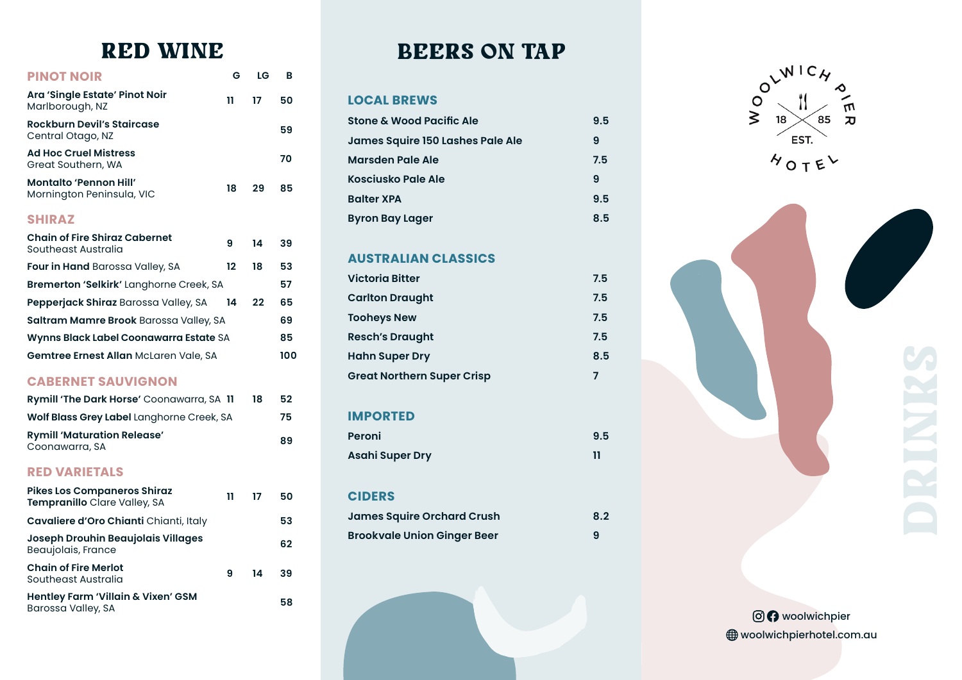# RED WINE

| <b>PINOT NOIR</b>                                                  | G  | LG | в   |
|--------------------------------------------------------------------|----|----|-----|
| Ara 'Single Estate' Pinot Noir<br>Marlborough, NZ                  | 11 | 17 | 50  |
| <b>Rockburn Devil's Staircase</b><br>Central Otago, NZ             |    |    | 59  |
| <b>Ad Hoc Cruel Mistress</b><br>Great Southern, WA                 |    |    | 70  |
| <b>Montalto 'Pennon Hill'</b><br>Mornington Peninsula, VIC         | 18 | 29 | 85  |
| <b>SHIRAZ</b>                                                      |    |    |     |
| <b>Chain of Fire Shiraz Cabernet</b><br>Southeast Australia        | 9  | 14 | 39  |
| <b>Four in Hand</b> Barossa Valley, SA                             | 12 | 18 | 53  |
| Bremerton 'Selkirk' Langhorne Creek, SA                            |    |    | 57  |
| Pepperjack Shiraz Barossa Valley, SA                               | 14 | 22 | 65  |
| Saltram Mamre Brook Barossa Valley, SA                             |    |    | 69  |
| Wynns Black Label Coonawarra Estate SA                             |    |    | 85  |
| Gemtree Ernest Allan McLaren Vale, SA                              |    |    | 100 |
| <b>CABERNET SAUVIGNON</b>                                          |    |    |     |
| Rymill 'The Dark Horse' Coonawarra, SA 11                          |    | 18 | 52  |
| Wolf Blass Grey Label Langhorne Creek, SA                          |    |    | 75  |
| <b>Rymill 'Maturation Release'</b><br>Coonawarra, SA               |    |    | 89  |
| <b>RED VARIETALS</b>                                               |    |    |     |
| <b>Pikes Los Companeros Shiraz</b><br>Tempranillo Clare Valley, SA | 11 | 17 | 50  |
| Cavaliere d'Oro Chianti Chianti, Italy                             |    |    | 53  |
| <b>Joseph Drouhin Beaujolais Villages</b><br>Beaujolais, France    |    |    | 62  |
| <b>Chain of Fire Merlot</b><br>Southeast Australia                 | 9  | 14 | 39  |
| Hentley Farm 'Villain & Vixen' GSM<br>Barossa Valley, SA           |    |    | 58  |

# BEERS ON TAP

#### **LOCAL BREWS**

| <b>Stone &amp; Wood Pacific Ale</b> | 9.5 |
|-------------------------------------|-----|
| James Squire 150 Lashes Pale Ale    | 9   |
| <b>Marsden Pale Ale</b>             | 7.5 |
| Kosciusko Pale Ale                  | 9   |
| <b>Balter XPA</b>                   | 9.5 |
| <b>Byron Bay Lager</b>              | 8.5 |

# **AUSTRALIAN CLASSICS**

| <b>Victoria Bitter</b>            | 7.5 |
|-----------------------------------|-----|
| <b>Carlton Draught</b>            | 7.5 |
| <b>Tooheys New</b>                | 7.5 |
| <b>Resch's Draught</b>            | 7.5 |
| <b>Hahn Super Dry</b>             | 8.5 |
| <b>Great Northern Super Crisp</b> |     |

# **IMPORTED**

| Peroni                 | 9.5 |
|------------------------|-----|
| <b>Asahi Super Dry</b> | 11  |

### **CIDERS**

| <b>James Squire Orchard Crush</b>  | 8.2 |
|------------------------------------|-----|
| <b>Brookvale Union Ginger Beer</b> | 9   |







**OO** woolwichpier woolwichpierhotel.com.au